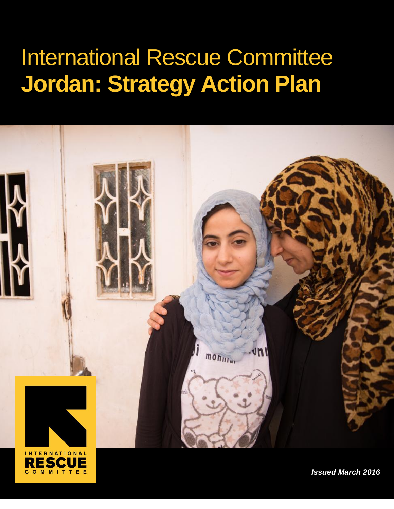# International Rescue Committee **Jordan: Strategy Action Plan**





*Issued March 2016*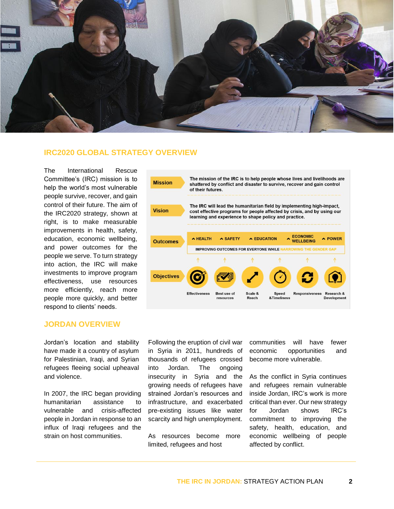

## **IRC2020 GLOBAL STRATEGY OVERVIEW**

The International Rescue Committee's (IRC) mission is to help the world's most vulnerable people survive, recover, and gain control of their future. The aim of the IRC2020 strategy, shown at right, is to make measurable improvements in health, safety, education, economic wellbeing, and power outcomes for the people we serve. To turn strategy into action, the IRC will make investments to improve program effectiveness, use resources more efficiently, reach more people more quickly, and better respond to clients' needs.

### **JORDAN OVERVIEW**

Jordan's location and stability have made it a country of asylum for Palestinian, Iraqi, and Syrian refugees fleeing social upheaval and violence.

In 2007, the IRC began providing humanitarian assistance to vulnerable and crisis-affected people in Jordan in response to an influx of Iraqi refugees and the strain on host communities.



Following the eruption of civil war in Syria in 2011, hundreds of thousands of refugees crossed into Jordan. The ongoing insecurity in Syria and the growing needs of refugees have strained Jordan's resources and infrastructure, and exacerbated pre-existing issues like water scarcity and high unemployment.

As resources become more limited, refugees and host

communities will have fewer economic opportunities and become more vulnerable.

As the conflict in Syria continues and refugees remain vulnerable inside Jordan, IRC's work is more critical than ever. Our new strategy for Jordan shows IRC's commitment to improving the safety, health, education, and economic wellbeing of people affected by conflict.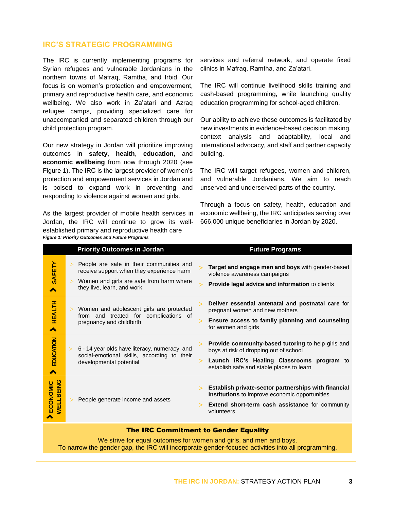## **IRC'S STRATEGIC PROGRAMMING**

The IRC is currently implementing programs for Syrian refugees and vulnerable Jordanians in the northern towns of Mafraq, Ramtha, and Irbid. Our focus is on women's protection and empowerment, primary and reproductive health care, and economic wellbeing. We also work in Za'atari and Azraq refugee camps, providing specialized care for unaccompanied and separated children through our child protection program.

Our new strategy in Jordan will prioritize improving outcomes in **safety**, **health**, **education**, and **economic wellbeing** from now through 2020 (see Figure 1). The IRC is the largest provider of women's protection and empowerment services in Jordan and is poised to expand work in preventing and responding to violence against women and girls.

As the largest provider of mobile health services in Jordan, the IRC will continue to grow its wellestablished primary and reproductive health care *Figure 1: Priority Outcomes and Future Programs*

services and referral network, and operate fixed clinics in Mafraq, Ramtha, and Za'atari.

The IRC will continue livelihood skills training and cash-based programming, while launching quality education programming for school-aged children.

Our ability to achieve these outcomes is facilitated by new investments in evidence-based decision making, context analysis and adaptability, local and international advocacy, and staff and partner capacity building.

The IRC will target refugees, women and children, and vulnerable Jordanians. We aim to reach unserved and underserved parts of the country.

Through a focus on safety, health, education and economic wellbeing, the IRC anticipates serving over 666,000 unique beneficiaries in Jordan by 2020.

|                                              | <b>Priority Outcomes in Jordan</b>                                                                                                                                                  | <b>Future Programs</b>                                                                                                                                                                  |
|----------------------------------------------|-------------------------------------------------------------------------------------------------------------------------------------------------------------------------------------|-----------------------------------------------------------------------------------------------------------------------------------------------------------------------------------------|
| SAFETY<br>^                                  | People are safe in their communities and<br>$\geq$<br>receive support when they experience harm<br>Women and girls are safe from harm where<br>$\geq$<br>they live, learn, and work | Target and engage men and boys with gender-based<br>violence awareness campaigns<br>Provide legal advice and information to clients<br>↘                                                |
| > HEALTH                                     | > Women and adolescent girls are protected<br>from and treated for complications of<br>pregnancy and childbirth                                                                     | Deliver essential antenatal and postnatal care for<br>pregnant women and new mothers<br>Ensure access to family planning and counseling<br>for women and girls                          |
| EDUCATION<br>∧                               | 6 - 14 year olds have literacy, numeracy, and<br>social-emotional skills, according to their<br>developmental potential                                                             | Provide community-based tutoring to help girls and<br>boys at risk of dropping out of school<br>Launch IRC's Healing Classrooms program to<br>establish safe and stable places to learn |
| <b>WELLBEING</b><br><b>ECONOMIC</b>          | People generate income and assets                                                                                                                                                   | Establish private-sector partnerships with financial<br>institutions to improve economic opportunities<br>Extend short-term cash assistance for community<br>volunteers                 |
| <b>The IRC Commitment to Gender Equality</b> |                                                                                                                                                                                     |                                                                                                                                                                                         |

We strive for equal outcomes for women and girls, and men and boys. To narrow the gender gap, the IRC will incorporate gender-focused activities into all programming.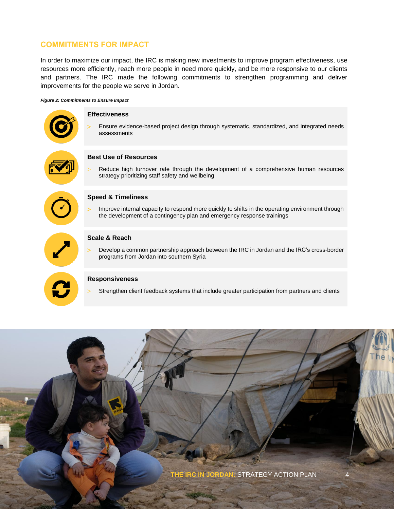## **COMMITMENTS FOR IMPACT**

In order to maximize our impact, the IRC is making new investments to improve program effectiveness, use resources more efficiently, reach more people in need more quickly, and be more responsive to our clients and partners. The IRC made the following commitments to strengthen programming and deliver improvements for the people we serve in Jordan.

#### *Figure 2: Commitments to Ensure Impact*



#### **Speed & Timeliness**

 Improve internal capacity to respond more quickly to shifts in the operating environment through the development of a contingency plan and emergency response trainings



#### **Scale & Reach**

 Develop a common partnership approach between the IRC in Jordan and the IRC's cross-border programs from Jordan into southern Syria

#### **Responsiveness**

Strengthen client feedback systems that include greater participation from partners and clients

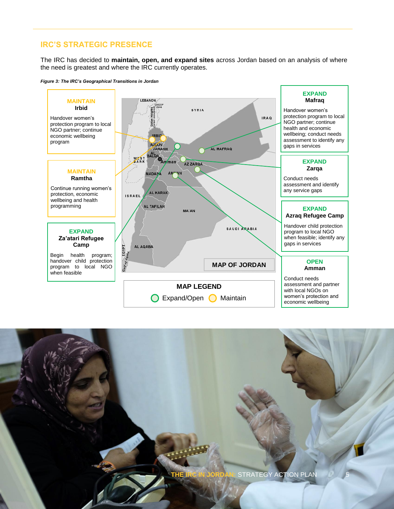## **IRC'S STRATEGIC PRESENCE**

The IRC has decided to **maintain, open, and expand sites** across Jordan based on an analysis of where the need is greatest and where the IRC currently operates.





**STRATEGY ACTION PLAN**